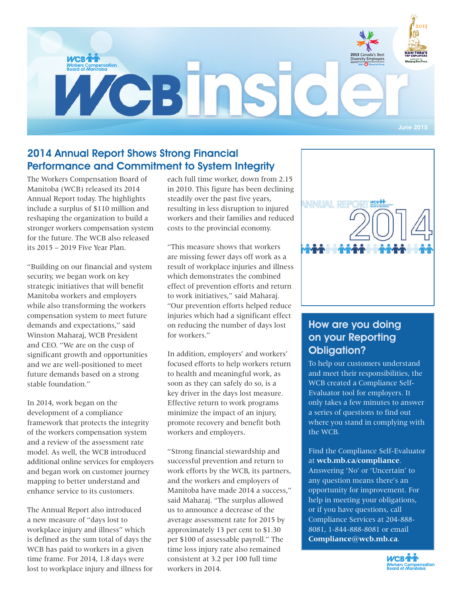

## 2014 Annual Report Shows Strong Financial Performance and Commitment to System Integrity

The Workers Compensation Board of Manitoba (WCB) released its 2014 Annual Report today. The highlights include a surplus of \$110 million and reshaping the organization to build a stronger workers compensation system for the future. The WCB also released its 2015 – 2019 Five Year Plan.

"Building on our financial and system security, we began work on key strategic initiatives that will benefit Manitoba workers and employers while also transforming the workers compensation system to meet future demands and expectations," said Winston Maharaj, WCB President and CEO. "We are on the cusp of significant growth and opportunities and we are well-positioned to meet future demands based on a strong stable foundation."

In 2014, work began on the development of a compliance framework that protects the integrity of the workers compensation system and a review of the assessment rate model. As well, the WCB introduced additional online services for employers and began work on customer journey mapping to better understand and enhance service to its customers.

The Annual Report also introduced a new measure of "days lost to workplace injury and illness" which is defined as the sum total of days the WCB has paid to workers in a given time frame. For 2014, 1.8 days were lost to workplace injury and illness for each full time worker, down from 2.15 in 2010. This figure has been declining steadily over the past five years, resulting in less disruption to injured workers and their families and reduced costs to the provincial economy.

"This measure shows that workers are missing fewer days off work as a result of workplace injuries and illness which demonstrates the combined effect of prevention efforts and return to work initiatives," said Maharaj. "Our prevention efforts helped reduce injuries which had a significant effect on reducing the number of days lost for workers."

In addition, employers' and workers' focused efforts to help workers return to health and meaningful work, as soon as they can safely do so, is a key driver in the days lost measure. Effective return to work programs minimize the impact of an injury, promote recovery and benefit both workers and employers.

"Strong financial stewardship and successful prevention and return to work efforts by the WCB, its partners, and the workers and employers of Manitoba have made 2014 a success," said Maharaj. "The surplus allowed us to announce a decrease of the average assessment rate for 2015 by approximately 13 per cent to \$1.30 per \$100 of assessable payroll." The time loss injury rate also remained consistent at 3.2 per 100 full time workers in 2014.



### How are you doing on your Reporting Obligation?

To help our customers understand and meet their responsibilities, the WCB created a Compliance Self-Evaluator tool for employers. It only takes a few minutes to answer a series of questions to find out where you stand in complying with the WCB.

Find the Compliance Self-Evaluator at **wcb.mb.ca/compliance**. Answering 'No' or 'Uncertain' to any question means there's an opportunity for improvement. For help in meeting your obligations, or if you have questions, call Compliance Services at 204-888- 8081, 1-844-888-8081 or email **Compliance@wcb.mb.ca**.